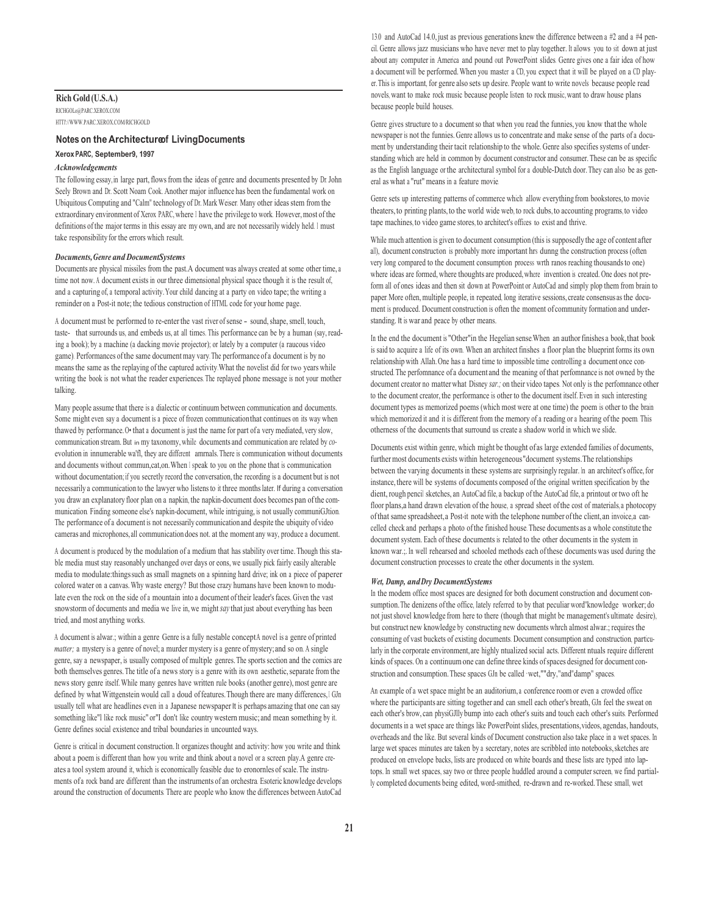# **Rich Gold (U.S.A.)**

RICHGOLo@PARC.XEROX.COM HTTl'://WWW.PARC.XEROX.COM/RICHGOLD

### **Notes on the Architecture f Living Documents**

#### **Xerox PARC, September 9, 1997**

#### *Acknowledgements*

The following essay, in large part, flows from the ideas of genre and documents presented by Dr. John Seely Brown and Dr. Scott Noam Cook. Another major influence has been the fundamental work on Ubiquitous Computing and "Calm" technology of Dr. Mark Weiser. Many other ideas stem from the extraordinary environment of Xerox PARC, where I have the privilege to work. However, most of the definitions of the major terms in this essay are my own, and are not necessarily widely held. I must take responsibility for the errors which result.

### *Documents, Genre and Document Systems*

Documents are physical missiles from the past.A document was always created at some other time, a time not now. A document exists in our three dimensional physical space though it is the result of, and a capturing of, a temporal activity. Your child dancing at a party on video tape; the writing a reminder on a Post-it note; the tedious construction of HTML code for your home page.

A document must be performed to re-enter the vast river of sense - sound, shape, smell, touch, taste- that surrounds us, and embeds us, at all times. This performance can be by a human (say, reading a book); by a machine (a dacking movie projector); or lately by a computer (a raucous video game). Performances of the same document may vary. The performance of a document is by no means the same as the replaying of the captured activity. What the novelist did for two years while writing the book is not what the reader experiences. The replayed phone message is not your mother talking.

Many people assume that there is a dialectic or continuum between communication and documents. Some might even say a document is a piece of frozen communication that continues on its way when thawed by performance. O• that a document is just the name for part of a very mediated, very slow, communication stream. But in my taxonomy, while documents and communication are related by *co*evolution in innumerable wa'fl, they are different amrnals. There is communication without documents and documents without commun,cat,on. When I speak to you on the phone that is communication without documentation; if you secretly record the conversation, the recording is a document but is not necessarily a communication to the lawyer who listens to it three months later. If during a conversation you draw an explanatory floor plan on a napkin, the napkin-document does becomes pan of the communication. Finding someone else's napkin-document, while intriguing, is not usually communiGJtion. The performance of a document is not necessarily communication and despite the ubiquity of video cameras and microphones, all communication does not. at the moment any way, produce a document.

A document is produced by the modulation of a medium that has stability over time. Though this stable media must stay reasonably unchanged over days or eons, we usually pick fairly easily alterable media to modulate:things such as small magnets on a spinning hard drive; ink on a piece of paperer colored water on a canvas. Why waste energy? But those crazy humans have been known to modulate even the rock on the side of a mountain into a document of their leader's faces. Given the vast snowstorm of documents and media we live in, we might *say* that just about everything has been tried, and most anything works.

A document is alwar.; within a genre Genre is a fully nestable conceptA novel is a genre of printed *matter;* a mystery is a genre of novel; a murder mystery is a genre of mystery; and so on. A single genre, say a newspaper, is usually composed of multiple genres. The sports section and the comics are both themselves genres. The title of a news story is a genre with its own aesthetic, separate from the news story genre itself. While many genres have written rule books (another genre), most genre are defined by what Wittgenstein would call a doud of features. Though there are many differences, I GJn usually tell what are headlines even in a Japanese newspaper It is perhaps amazing that one can say something like"l like rock music" or"I don't like country western music; and mean something by it. Genre defines social existence and tribal boundaries in uncounted ways.

Genre is critical in document construction. It organizes thought and activity: how you write and think about a poem is different than how you write and think about a novel or a screen play.A genre creates a tool system around it, which is economically feasible due to eronornles of scale. The instruments of a rock band are different than the instruments of an orchestra. Esoteric knowledge develops around the construction of documents. There are people who know the differences between AutoCad

13.0 and AutoCad 14.0, just as previous generations knew the difference between a #2 and a #4 pencil. Genre allows jazz musicians who have never met to play together. It allows you to sit down at just about any computer in America and pound out PowerPoint slides. Genre gives one a fair idea of how a document will be performed. When you master a CD, you expect that it will be played on a CD player. This is important, for genre also sets up desire. People want to write novels because people read novels, want to make rock music because people listen to rock music, want to draw house plans because people build houses.

Genre gives structure to a document so that when you read the funnies, you know that the whole newspaper is not the funnies. Genre allows us to concentrate and make sense of the parts of a document by understanding their tacit relationship to the whole. Genre also specifies systems of understanding which are held in common by document constructor and consumer. These can be as specific as the English language or the architectural symbol for a double-Dutch door. They can also be as general as what a "rut" means in a feature movie.

Genre sets up interesting patterns of commerce which allow everything from bookstores, to movie theaters, to printing plants, to the world wide web, to rock dubs, to accounting programs, to video tape machines, to video game stores, to architect's offices to exist and thrive.

While much attention is given to document consumption (this is supposedly the age of content after all), document construction is probably more important hrs dunng the construction process (often very long compared to the document consumption process wrth ranos reaching thousands to one) where ideas are formed, where thoughts are produced, where invention is created. One does not preform all of ones ideas and then sit down at PowerPoint or AutoCad and simply plop them from brain to paper. More often, multiple people, in repeated, long iterative sessions, create consensus as the document is produced. Document construction is often the moment of community formation and understanding. It is war and peace by other means.

In the end the document is "Other"in the Hegelian sense.When an author finishes a book, that book is said to acquire a life of its own. When an architect finishes a floor plan the blueprint forms its own relationship with Allah. One has a hard time to impossible time controlling a document once constructed. The perfomnance of a document and the meaning of that perfomnance is not owned by the document creator no matter what Disney *sar.;* on their video tapes. Not only is the perfomnance other to the document creator, the performance is other to the document itself. Even in such interesting document types as memorized poems (which most were at one time) the poem is other to the brain which memorized it and it is different from the memory of a reading or a hearing of the poem. This otherness of the documents that surround us create a shadow world in which we slide.

Documents exist within genre, which might be thought of as large extended families of documents, further most documents exists within heterogeneous "document systems.The relationships between the varying documents in these systems are surprisingly regular. In an architect's office, for instance, there will be systems of documents composed of the original written specification by the dient, rough pencil sketches, an AutoCad file, a backup of the AutoCad file, a printout or two oft he floor plans,a hand drawn elevation of the house, a spread sheet of the cost of materials, a photocopy of that same spreadsheet, a Post-it note with the telephone number of the client, an invoice,a cancelled check and perhaps a photo of the finished house. These documents as a whole constitute the document system. Each of these documents is related to the other documents in the system in known war.;. In well rehearsed and schooled methods each of these documents was used during the document construction processes to create the other documents in the system.

#### *Wet, Damp, and Dry Document Systems*

In the modem office most spaces are designed for both document construction and document consumption. The denizens of the office, lately referred to by that peculiar word"knowledge worker; do not just shovel knowledge from here to there (though that might be management's ultimate desire), but construct new knowledge by constructing new documents whrch almost alwar.; requires the consuming of vast buckets of existing documents. Document consumption and construction, particularly in the corporate environment, are highly ntualized social acts. Different ntuals require different kinds of spaces. On a continuum one can define three kinds of spaces designed for document construction and consumption. These spaces GJn be called ·wet,""dry,"and"damp" spaces.

An example of a wet space might be an auditorium, a conference room or even a crowded office where the participants are sitting together and can smell each other's breath, GJn feel the sweat on each other's brow, can physiGJlly bump into each other's suits and touch each other's suits. Performed documents in a wet space are things like PowerPoint slides, presentations, videos, agendas, handouts, overheads and the like. But several kinds of Document construction also take place in a wet spaces. In large wet spaces minutes are taken by a secretary, notes are scribbled into notebooks, sketches are produced on envelope backs, lists are produced on white boards and these lists are typed into laptops. In small wet spaces, say two or three people huddled around a computer screen, we find partially completed documents being edited, word-smithed, re-drawn and re-worked. These small, wet